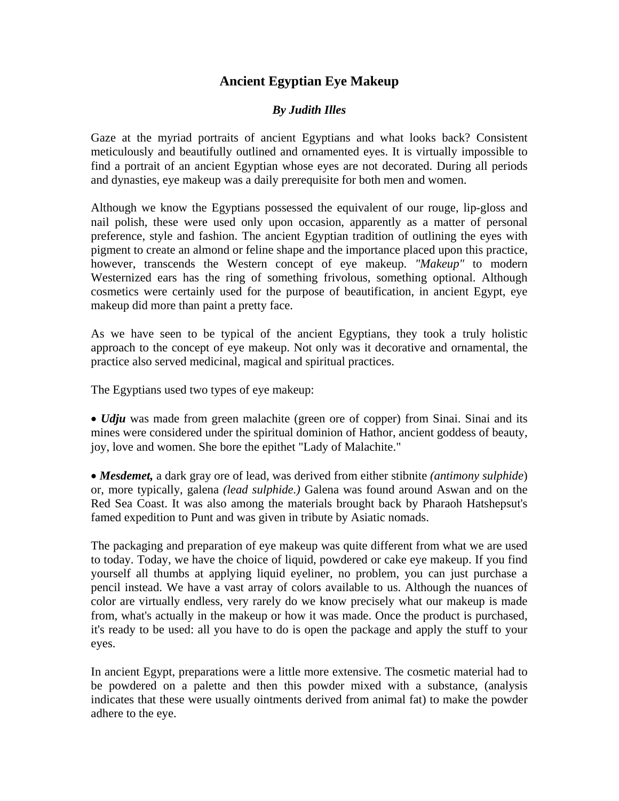## **Ancient Egyptian Eye Makeup**

## *By Judith Illes*

Gaze at the myriad portraits of ancient Egyptians and what looks back? Consistent meticulously and beautifully outlined and ornamented eyes. It is virtually impossible to find a portrait of an ancient Egyptian whose eyes are not decorated. During all periods and dynasties, eye makeup was a daily prerequisite for both men and women.

Although we know the Egyptians possessed the equivalent of our rouge, lip-gloss and nail polish, these were used only upon occasion, apparently as a matter of personal preference, style and fashion. The ancient Egyptian tradition of outlining the eyes with pigment to create an almond or feline shape and the importance placed upon this practice, however, transcends the Western concept of eye makeup. *"Makeup"* to modern Westernized ears has the ring of something frivolous, something optional. Although cosmetics were certainly used for the purpose of beautification, in ancient Egypt, eye makeup did more than paint a pretty face.

As we have seen to be typical of the ancient Egyptians, they took a truly holistic approach to the concept of eye makeup. Not only was it decorative and ornamental, the practice also served medicinal, magical and spiritual practices.

The Egyptians used two types of eye makeup:

• *Udju* was made from green malachite (green ore of copper) from Sinai. Sinai and its mines were considered under the spiritual dominion of Hathor, ancient goddess of beauty, joy, love and women. She bore the epithet "Lady of Malachite."

• *Mesdemet,* a dark gray ore of lead, was derived from either stibnite *(antimony sulphide*) or, more typically, galena *(lead sulphide.)* Galena was found around Aswan and on the Red Sea Coast. It was also among the materials brought back by Pharaoh Hatshepsut's famed expedition to Punt and was given in tribute by Asiatic nomads.

The packaging and preparation of eye makeup was quite different from what we are used to today. Today, we have the choice of liquid, powdered or cake eye makeup. If you find yourself all thumbs at applying liquid eyeliner, no problem, you can just purchase a pencil instead. We have a vast array of colors available to us. Although the nuances of color are virtually endless, very rarely do we know precisely what our makeup is made from, what's actually in the makeup or how it was made. Once the product is purchased, it's ready to be used: all you have to do is open the package and apply the stuff to your eyes.

In ancient Egypt, preparations were a little more extensive. The cosmetic material had to be powdered on a palette and then this powder mixed with a substance, (analysis indicates that these were usually ointments derived from animal fat) to make the powder adhere to the eye.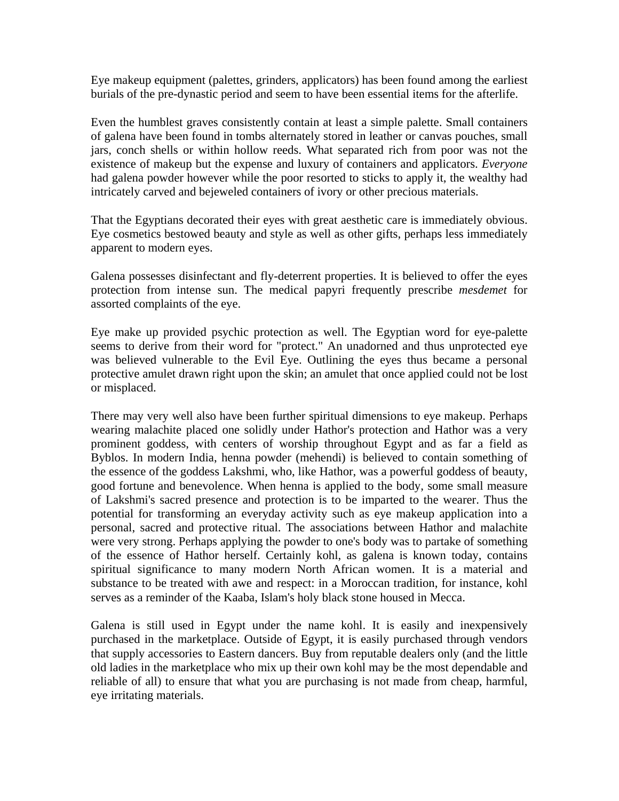Eye makeup equipment (palettes, grinders, applicators) has been found among the earliest burials of the pre-dynastic period and seem to have been essential items for the afterlife.

Even the humblest graves consistently contain at least a simple palette. Small containers of galena have been found in tombs alternately stored in leather or canvas pouches, small jars, conch shells or within hollow reeds. What separated rich from poor was not the existence of makeup but the expense and luxury of containers and applicators. *Everyone* had galena powder however while the poor resorted to sticks to apply it, the wealthy had intricately carved and bejeweled containers of ivory or other precious materials.

That the Egyptians decorated their eyes with great aesthetic care is immediately obvious. Eye cosmetics bestowed beauty and style as well as other gifts, perhaps less immediately apparent to modern eyes.

Galena possesses disinfectant and fly-deterrent properties. It is believed to offer the eyes protection from intense sun. The medical papyri frequently prescribe *mesdemet* for assorted complaints of the eye.

Eye make up provided psychic protection as well. The Egyptian word for eye-palette seems to derive from their word for "protect." An unadorned and thus unprotected eye was believed vulnerable to the Evil Eye. Outlining the eyes thus became a personal protective amulet drawn right upon the skin; an amulet that once applied could not be lost or misplaced.

There may very well also have been further spiritual dimensions to eye makeup. Perhaps wearing malachite placed one solidly under Hathor's protection and Hathor was a very prominent goddess, with centers of worship throughout Egypt and as far a field as Byblos. In modern India, henna powder (mehendi) is believed to contain something of the essence of the goddess Lakshmi, who, like Hathor, was a powerful goddess of beauty, good fortune and benevolence. When henna is applied to the body, some small measure of Lakshmi's sacred presence and protection is to be imparted to the wearer. Thus the potential for transforming an everyday activity such as eye makeup application into a personal, sacred and protective ritual. The associations between Hathor and malachite were very strong. Perhaps applying the powder to one's body was to partake of something of the essence of Hathor herself. Certainly kohl, as galena is known today, contains spiritual significance to many modern North African women. It is a material and substance to be treated with awe and respect: in a Moroccan tradition, for instance, kohl serves as a reminder of the Kaaba, Islam's holy black stone housed in Mecca.

Galena is still used in Egypt under the name kohl. It is easily and inexpensively purchased in the marketplace. Outside of Egypt, it is easily purchased through vendors that supply accessories to Eastern dancers. Buy from reputable dealers only (and the little old ladies in the marketplace who mix up their own kohl may be the most dependable and reliable of all) to ensure that what you are purchasing is not made from cheap, harmful, eye irritating materials.